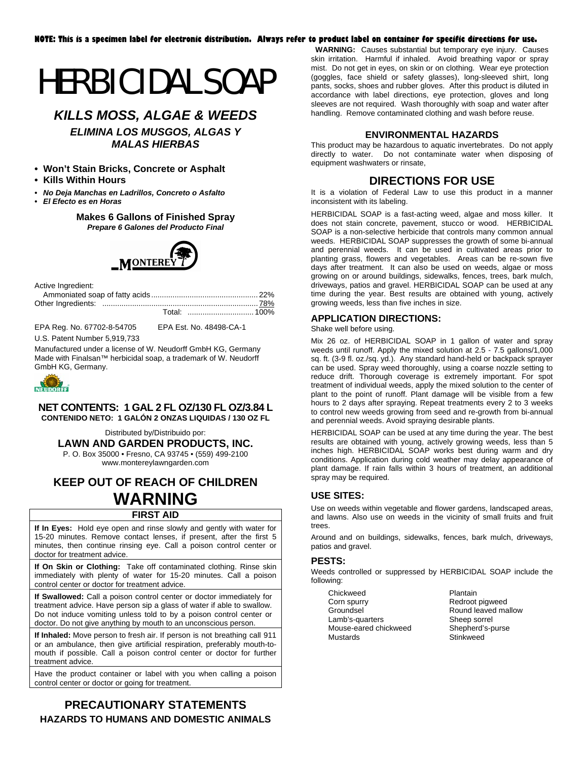# HERBICIDAL SOAP

# *KILLS MOSS, ALGAE & WEEDS ELIMINA LOS MUSGOS, ALGAS Y*

*MALAS HIERBAS* 

- **Won't Stain Bricks, Concrete or Asphalt**
- **Kills Within Hours**
- *No Deja Manchas en Ladrillos, Concreto o Asfalto*

*• El Efecto es en Horas* 

**Makes 6 Gallons of Finished Spray**  *Prepare 6 Galones del Producto Final* 



Active Ingredient:

EPA Reg. No. 67702-8-54705 EPA Est. No. 48498-CA-1

U.S. Patent Number 5,919,733

Manufactured under a license of W. Neudorff GmbH KG, Germany Made with Finalsan™ herbicidal soap, a trademark of W. Neudorff GmbH KG, Germany.



#### **NET CONTENTS: 1 GAL 2 FL OZ/130 FL OZ/3.84 L CONTENIDO NETO: 1 GALÓN 2 ONZAS LIQUIDAS / 130 OZ FL**

Distributed by/Distribuido por: **LAWN AND GARDEN PRODUCTS, INC.** 

P. O. Box 35000 • Fresno, CA 93745 • (559) 499-2100 [www.montereylawngarden.com](http://www.montereylawngarden.com/)

# **KEEP OUT OF REACH OF CHILDREN WARNING**

#### **FIRST AID**

**If In Eyes:** Hold eye open and rinse slowly and gently with water for 15-20 minutes. Remove contact lenses, if present, after the first 5 minutes, then continue rinsing eye. Call a poison control center or doctor for treatment advice.

**If On Skin or Clothing:** Take off contaminated clothing. Rinse skin immediately with plenty of water for 15-20 minutes. Call a poison control center or doctor for treatment advice.

**If Swallowed:** Call a poison control center or doctor immediately for treatment advice. Have person sip a glass of water if able to swallow. Do not induce vomiting unless told to by a poison control center or doctor. Do not give anything by mouth to an unconscious person.

**If Inhaled:** Move person to fresh air. If person is not breathing call 911 or an ambulance, then give artificial respiration, preferably mouth-tomouth if possible. Call a poison control center or doctor for further treatment advice.

Have the product container or label with you when calling a poison control center or doctor or going for treatment.

# **PRECAUTIONARY STATEMENTS HAZARDS TO HUMANS AND DOMESTIC ANIMALS**

**WARNING:** Causes substantial but temporary eye injury. Causes skin irritation. Harmful if inhaled. Avoid breathing vapor or spray mist. Do not get in eyes, on skin or on clothing. Wear eye protection (goggles, face shield or safety glasses), long-sleeved shirt, long pants, socks, shoes and rubber gloves. After this product is diluted in accordance with label directions, eye protection, gloves and long sleeves are not required. Wash thoroughly with soap and water after handling. Remove contaminated clothing and wash before reuse.

#### **ENVIRONMENTAL HAZARDS**

This product may be hazardous to aquatic invertebrates. Do not apply directly to water. Do not contaminate water when disposing of equipment washwaters or rinsate,

# **DIRECTIONS FOR USE**

It is a violation of Federal Law to use this product in a manner inconsistent with its labeling.

HERBICIDAL SOAP is a fast-acting weed, algae and moss killer. It does not stain concrete, pavement, stucco or wood. HERBICIDAL SOAP is a non-selective herbicide that controls many common annual weeds. HERBICIDAL SOAP suppresses the growth of some bi-annual and perennial weeds. It can be used in cultivated areas prior to planting grass, flowers and vegetables. Areas can be re-sown five days after treatment. It can also be used on weeds, algae or moss growing on or around buildings, sidewalks, fences, trees, bark mulch, driveways, patios and gravel. HERBICIDAL SOAP can be used at any time during the year. Best results are obtained with young, actively growing weeds, less than five inches in size.

#### **APPLICATION DIRECTIONS:**

Shake well before using.

Mix 26 oz. of HERBICIDAL SOAP in 1 gallon of water and spray weeds until runoff. Apply the mixed solution at 2.5 - 7.5 gallons/1,000 sq. ft. (3-9 fl. oz./sq. yd.). Any standard hand-held or backpack sprayer can be used. Spray weed thoroughly, using a coarse nozzle setting to reduce drift. Thorough coverage is extremely important. For spot treatment of individual weeds, apply the mixed solution to the center of plant to the point of runoff. Plant damage will be visible from a few hours to 2 days after spraying. Repeat treatments every 2 to 3 weeks to control new weeds growing from seed and re-growth from bi-annual and perennial weeds. Avoid spraying desirable plants.

HERBICIDAL SOAP can be used at any time during the year. The best results are obtained with young, actively growing weeds, less than 5 inches high. HERBICIDAL SOAP works best during warm and dry conditions. Application during cold weather may delay appearance of plant damage. If rain falls within 3 hours of treatment, an additional spray may be required.

#### **USE SITES:**

Use on weeds within vegetable and flower gardens, landscaped areas, and lawns. Also use on weeds in the vicinity of small fruits and fruit trees.

Around and on buildings, sidewalks, fences, bark mulch, driveways, patios and gravel.

#### **PESTS:**

Weeds controlled or suppressed by HERBICIDAL SOAP include the following:

| Chickweed             |  |  |
|-----------------------|--|--|
| Corn spurry           |  |  |
| Groundsel             |  |  |
| Lamb's-quarters       |  |  |
| Mouse-eared chickweed |  |  |
| Mustards              |  |  |

Plantain Redroot pigweed Round leaved mallow Sheep sorrel Shepherd's-purse Stinkweed